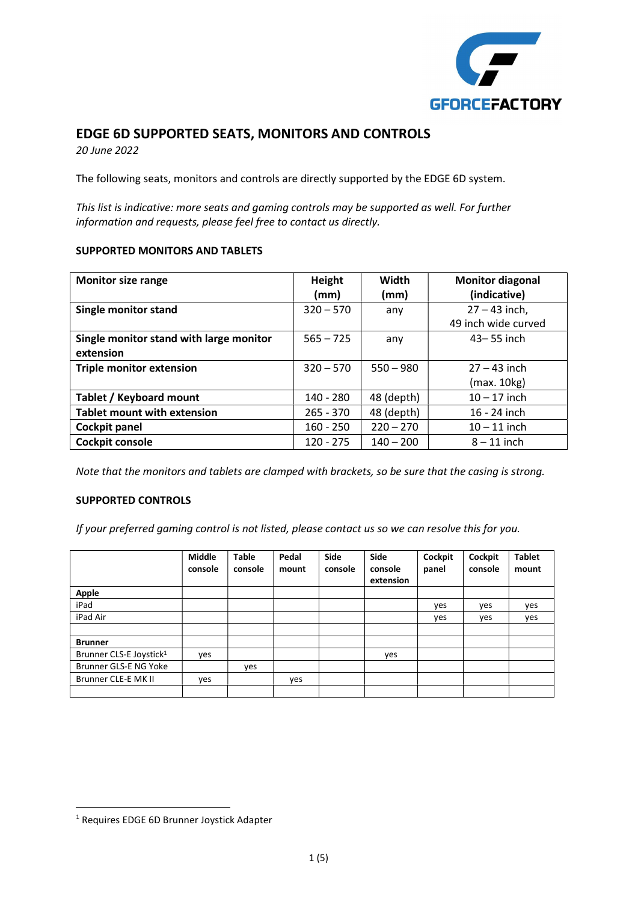

### EDGE 6D SUPPORTED SEATS, MONITORS AND CONTROLS

20 June 2022

The following seats, monitors and controls are directly supported by the EDGE 6D system.

This list is indicative: more seats and gaming controls may be supported as well. For further information and requests, please feel free to contact us directly.

#### SUPPORTED MONITORS AND TABLETS

| <b>Monitor size range</b>               | Height      | Width       | <b>Monitor diagonal</b> |
|-----------------------------------------|-------------|-------------|-------------------------|
|                                         | (mm)        | (mm)        | (indicative)            |
| <b>Single monitor stand</b>             | $320 - 570$ | any         | $27 - 43$ inch,         |
|                                         |             |             | 49 inch wide curved     |
| Single monitor stand with large monitor | $565 - 725$ | any         | $43 - 55$ inch          |
| extension                               |             |             |                         |
| <b>Triple monitor extension</b>         | $320 - 570$ | $550 - 980$ | $27 - 43$ inch          |
|                                         |             |             | (max. 10kg)             |
| Tablet / Keyboard mount                 | 140 - 280   | 48 (depth)  | $10 - 17$ inch          |
| <b>Tablet mount with extension</b>      | $265 - 370$ | 48 (depth)  | 16 - 24 inch            |
| <b>Cockpit panel</b>                    | $160 - 250$ | $220 - 270$ | $10 - 11$ inch          |
| <b>Cockpit console</b>                  | $120 - 275$ | $140 - 200$ | $8 - 11$ inch           |

Note that the monitors and tablets are clamped with brackets, so be sure that the casing is strong.

### SUPPORTED CONTROLS

If your preferred gaming control is not listed, please contact us so we can resolve this for you.

|                                     | <b>Middle</b><br>console | <b>Table</b><br>console | Pedal<br>mount | Side<br>console | Side<br>console<br>extension | Cockpit<br>panel | Cockpit<br>console | <b>Tablet</b><br>mount |
|-------------------------------------|--------------------------|-------------------------|----------------|-----------------|------------------------------|------------------|--------------------|------------------------|
| Apple                               |                          |                         |                |                 |                              |                  |                    |                        |
| iPad                                |                          |                         |                |                 |                              | yes              | yes                | yes                    |
| iPad Air                            |                          |                         |                |                 |                              | yes              | yes                | yes                    |
|                                     |                          |                         |                |                 |                              |                  |                    |                        |
| <b>Brunner</b>                      |                          |                         |                |                 |                              |                  |                    |                        |
| Brunner CLS-E Joystick <sup>1</sup> | ves                      |                         |                |                 | yes                          |                  |                    |                        |
| Brunner GLS-E NG Yoke               |                          | yes                     |                |                 |                              |                  |                    |                        |
| Brunner CLE-E MK II                 | yes                      |                         | yes            |                 |                              |                  |                    |                        |
|                                     |                          |                         |                |                 |                              |                  |                    |                        |

<sup>1</sup> Requires EDGE 6D Brunner Joystick Adapter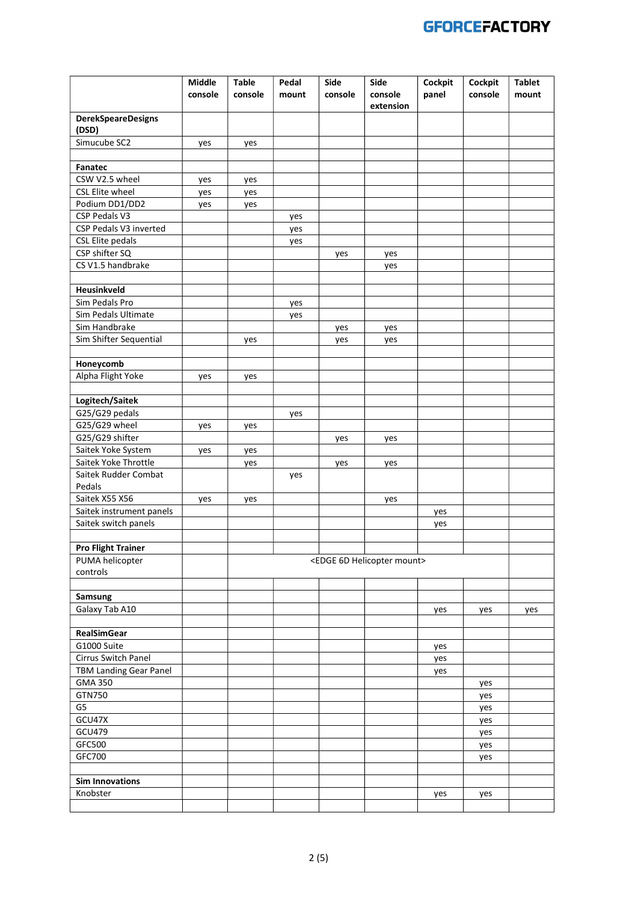|                                    | Middle  | <b>Table</b> | Pedal | Side    | Side                                       | Cockpit    | Cockpit    | <b>Tablet</b> |
|------------------------------------|---------|--------------|-------|---------|--------------------------------------------|------------|------------|---------------|
|                                    | console | console      | mount | console | console<br>extension                       | panel      | console    | mount         |
| <b>DerekSpeareDesigns</b><br>(DSD) |         |              |       |         |                                            |            |            |               |
| Simucube SC2                       | yes     | yes          |       |         |                                            |            |            |               |
|                                    |         |              |       |         |                                            |            |            |               |
| Fanatec                            |         |              |       |         |                                            |            |            |               |
| CSW V2.5 wheel                     | yes     | yes          |       |         |                                            |            |            |               |
| CSL Elite wheel                    | yes     | yes          |       |         |                                            |            |            |               |
| Podium DD1/DD2                     | yes     | yes          |       |         |                                            |            |            |               |
| CSP Pedals V3                      |         |              | yes   |         |                                            |            |            |               |
| CSP Pedals V3 inverted             |         |              | yes   |         |                                            |            |            |               |
| <b>CSL Elite pedals</b>            |         |              | yes   |         |                                            |            |            |               |
| CSP shifter SQ                     |         |              |       | yes     | yes                                        |            |            |               |
| CS V1.5 handbrake                  |         |              |       |         | yes                                        |            |            |               |
| Heusinkveld                        |         |              |       |         |                                            |            |            |               |
| Sim Pedals Pro                     |         |              | yes   |         |                                            |            |            |               |
| Sim Pedals Ultimate                |         |              | yes   |         |                                            |            |            |               |
| Sim Handbrake                      |         |              |       | yes     | yes                                        |            |            |               |
| Sim Shifter Sequential             |         | yes          |       | yes     | yes                                        |            |            |               |
|                                    |         |              |       |         |                                            |            |            |               |
| Honeycomb                          |         |              |       |         |                                            |            |            |               |
| Alpha Flight Yoke                  | yes     | yes          |       |         |                                            |            |            |               |
|                                    |         |              |       |         |                                            |            |            |               |
| Logitech/Saitek                    |         |              |       |         |                                            |            |            |               |
| G25/G29 pedals                     |         |              | yes   |         |                                            |            |            |               |
| G25/G29 wheel                      | yes     | yes          |       |         |                                            |            |            |               |
| G25/G29 shifter                    |         |              |       | yes     | yes                                        |            |            |               |
| Saitek Yoke System                 | yes     | yes          |       |         |                                            |            |            |               |
| Saitek Yoke Throttle               |         | yes          |       | yes     | yes                                        |            |            |               |
| Saitek Rudder Combat               |         |              | yes   |         |                                            |            |            |               |
| Pedals<br>Saitek X55 X56           |         |              |       |         |                                            |            |            |               |
| Saitek instrument panels           | yes     | yes          |       |         | yes                                        |            |            |               |
| Saitek switch panels               |         |              |       |         |                                            | yes<br>yes |            |               |
|                                    |         |              |       |         |                                            |            |            |               |
| <b>Pro Flight Trainer</b>          |         |              |       |         |                                            |            |            |               |
| PUMA helicopter                    |         |              |       |         | <edge 6d="" helicopter="" mount=""></edge> |            |            |               |
| controls                           |         |              |       |         |                                            |            |            |               |
|                                    |         |              |       |         |                                            |            |            |               |
| Samsung                            |         |              |       |         |                                            |            |            |               |
| Galaxy Tab A10                     |         |              |       |         |                                            | yes        | yes        | yes           |
|                                    |         |              |       |         |                                            |            |            |               |
| <b>RealSimGear</b>                 |         |              |       |         |                                            |            |            |               |
| G1000 Suite                        |         |              |       |         |                                            | yes        |            |               |
| Cirrus Switch Panel                |         |              |       |         |                                            | yes        |            |               |
| <b>TBM Landing Gear Panel</b>      |         |              |       |         |                                            | yes        |            |               |
| <b>GMA 350</b>                     |         |              |       |         |                                            |            | yes        |               |
| GTN750<br>G5                       |         |              |       |         |                                            |            | yes        |               |
| GCU47X                             |         |              |       |         |                                            |            | yes        |               |
| GCU479                             |         |              |       |         |                                            |            | yes        |               |
| GFC500                             |         |              |       |         |                                            |            | yes<br>yes |               |
| GFC700                             |         |              |       |         |                                            |            | yes        |               |
|                                    |         |              |       |         |                                            |            |            |               |
| <b>Sim Innovations</b>             |         |              |       |         |                                            |            |            |               |
| Knobster                           |         |              |       |         |                                            | yes        | yes        |               |
|                                    |         |              |       |         |                                            |            |            |               |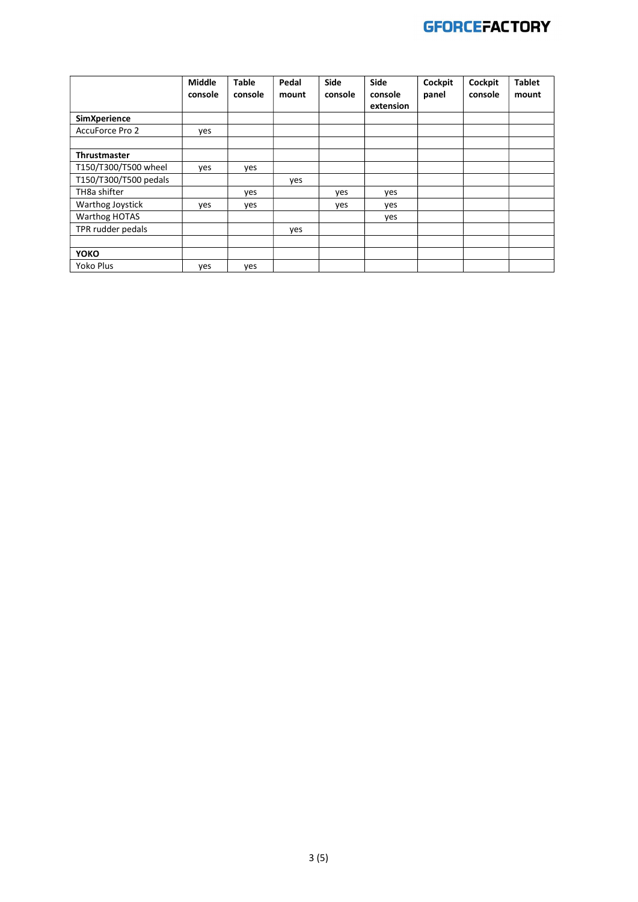

|                       | Middle  | <b>Table</b> | Pedal | Side    | Side                 | Cockpit | Cockpit | <b>Tablet</b> |
|-----------------------|---------|--------------|-------|---------|----------------------|---------|---------|---------------|
|                       | console | console      | mount | console | console<br>extension | panel   | console | mount         |
| <b>SimXperience</b>   |         |              |       |         |                      |         |         |               |
| AccuForce Pro 2       | ves     |              |       |         |                      |         |         |               |
|                       |         |              |       |         |                      |         |         |               |
| <b>Thrustmaster</b>   |         |              |       |         |                      |         |         |               |
| T150/T300/T500 wheel  | yes     | yes          |       |         |                      |         |         |               |
| T150/T300/T500 pedals |         |              | ves   |         |                      |         |         |               |
| TH8a shifter          |         | yes          |       | yes     | yes                  |         |         |               |
| Warthog Joystick      | yes     | yes          |       | yes     | yes                  |         |         |               |
| Warthog HOTAS         |         |              |       |         | yes                  |         |         |               |
| TPR rudder pedals     |         |              | yes   |         |                      |         |         |               |
|                       |         |              |       |         |                      |         |         |               |
| <b>YOKO</b>           |         |              |       |         |                      |         |         |               |
| Yoko Plus             | yes     | yes          |       |         |                      |         |         |               |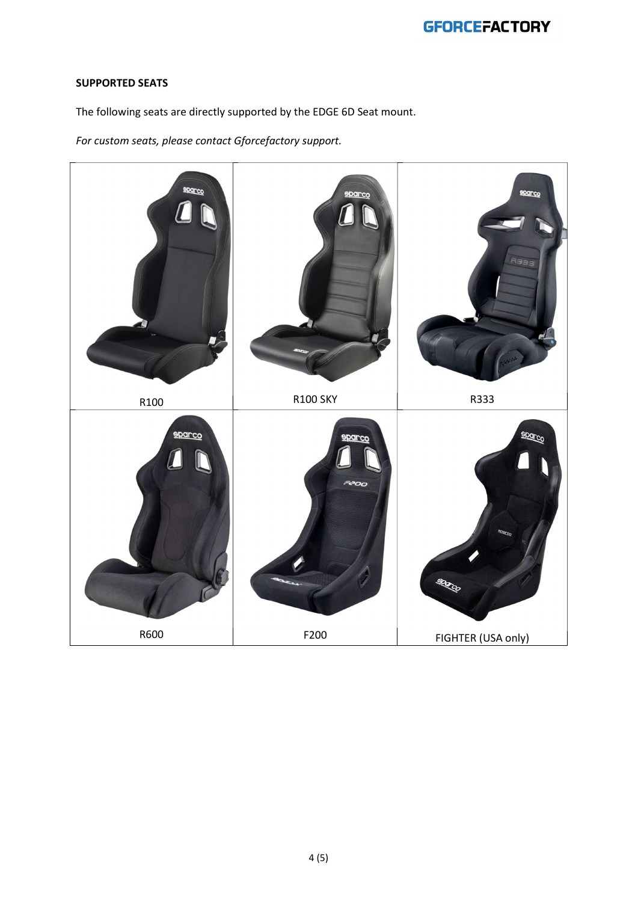# **GFORCEFACTORY**

### SUPPORTED SEATS

The following seats are directly supported by the EDGE 6D Seat mount.

For custom seats, please contact Gforcefactory support.